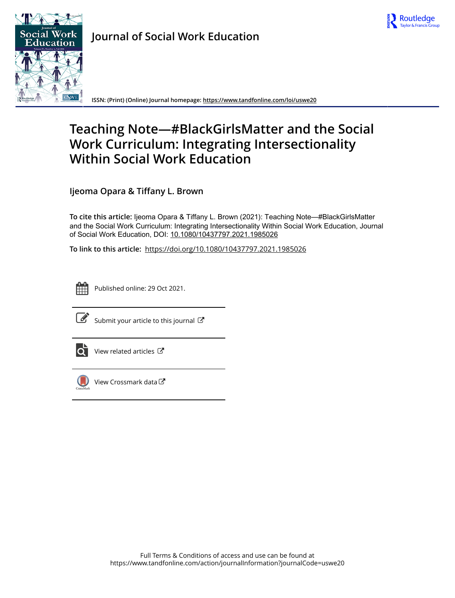



**Journal of Social Work Education**

**ISSN: (Print) (Online) Journal homepage:<https://www.tandfonline.com/loi/uswe20>**

# **Teaching Note—#BlackGirlsMatter and the Social Work Curriculum: Integrating Intersectionality Within Social Work Education**

**Ijeoma Opara & Tiffany L. Brown**

**To cite this article:** Ijeoma Opara & Tiffany L. Brown (2021): Teaching Note—#BlackGirlsMatter and the Social Work Curriculum: Integrating Intersectionality Within Social Work Education, Journal of Social Work Education, DOI: [10.1080/10437797.2021.1985026](https://www.tandfonline.com/action/showCitFormats?doi=10.1080/10437797.2021.1985026)

**To link to this article:** <https://doi.org/10.1080/10437797.2021.1985026>



Published online: 29 Oct 2021.



 $\overrightarrow{S}$  [Submit your article to this journal](https://www.tandfonline.com/action/authorSubmission?journalCode=uswe20&show=instructions)  $\overrightarrow{S}$ 



 $\overrightarrow{Q}$  [View related articles](https://www.tandfonline.com/doi/mlt/10.1080/10437797.2021.1985026)  $\overrightarrow{C}$ 



[View Crossmark data](http://crossmark.crossref.org/dialog/?doi=10.1080/10437797.2021.1985026&domain=pdf&date_stamp=2021-10-29)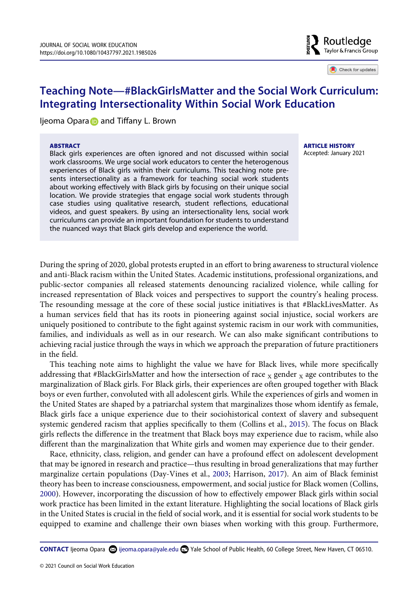

Check for updates

# **Teaching Note—#BlackGirlsMatter and the Social Work Curriculum: Integrating Intersectionality Within Social Work Education**

Ijeoma Opara and Tiffany L. Brown

#### **ABSTRACT**

Black girls experiences are often ignored and not discussed within social work classrooms. We urge social work educators to center the heterogenous experiences of Black girls within their curriculums. This teaching note presents intersectionality as a framework for teaching social work students about working effectively with Black girls by focusing on their unique social location. We provide strategies that engage social work students through case studies using qualitative research, student reflections, educational videos, and guest speakers. By using an intersectionality lens, social work curriculums can provide an important foundation for students to understand the nuanced ways that Black girls develop and experience the world.

**ARTICLE HISTORY**  Accepted: January 2021

During the spring of 2020, global protests erupted in an effort to bring awareness to structural violence and anti-Black racism within the United States. Academic institutions, professional organizations, and public-sector companies all released statements denouncing racialized violence, while calling for increased representation of Black voices and perspectives to support the country's healing process. The resounding message at the core of these social justice initiatives is that #BlackLivesMatter. As a human services field that has its roots in pioneering against social injustice, social workers are uniquely positioned to contribute to the fight against systemic racism in our work with communities, families, and individuals as well as in our research. We can also make significant contributions to achieving racial justice through the ways in which we approach the preparation of future practitioners in the field.

This teaching note aims to highlight the value we have for Black lives, while more specifically addressing that #BlackGirlsMatter and how the intersection of race  $_X$  gender  $_X$  age contributes to the marginalization of Black girls. For Black girls, their experiences are often grouped together with Black boys or even further, convoluted with all adolescent girls. While the experiences of girls and women in the United States are shaped by a patriarchal system that marginalizes those whom identify as female, Black girls face a unique experience due to their sociohistorical context of slavery and subsequent systemic gendered racism that applies specifically to them (Collins et al., [2015\)](#page-6-0). The focus on Black girls reflects the difference in the treatment that Black boys may experience due to racism, while also different than the marginalization that White girls and women may experience due to their gender.

<span id="page-1-2"></span><span id="page-1-1"></span><span id="page-1-0"></span>Race, ethnicity, class, religion, and gender can have a profound effect on adolescent development that may be ignored in research and practice—thus resulting in broad generalizations that may further marginalize certain populations (Day-Vines et al., [2003;](#page-7-0) Harrison, [2017\)](#page-7-1). An aim of Black feminist theory has been to increase consciousness, empowerment, and social justice for Black women (Collins, [2000](#page-6-1)). However, incorporating the discussion of how to effectively empower Black girls within social work practice has been limited in the extant literature. Highlighting the social locations of Black girls in the United States is crucial in the field of social work, and it is essential for social work students to be equipped to examine and challenge their own biases when working with this group. Furthermore,

**CONTACT** Ijeoma Opara **@** ijeoma.opara@yale.edu **@** Yale School of Public Health, 60 College Street, New Haven, CT 06510.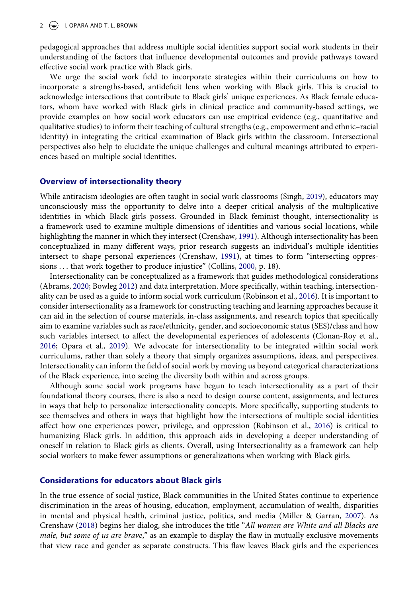pedagogical approaches that address multiple social identities support social work students in their understanding of the factors that influence developmental outcomes and provide pathways toward effective social work practice with Black girls.

We urge the social work field to incorporate strategies within their curriculums on how to incorporate a strengths-based, antideficit lens when working with Black girls. This is crucial to acknowledge intersections that contribute to Black girls' unique experiences. As Black female educators, whom have worked with Black girls in clinical practice and community-based settings, we provide examples on how social work educators can use empirical evidence (e.g., quantitative and qualitative studies) to inform their teaching of cultural strengths (e.g., empowerment and ethnic–racial identity) in integrating the critical examination of Black girls within the classroom. Intersectional perspectives also help to elucidate the unique challenges and cultural meanings attributed to experiences based on multiple social identities.

### **Overview of intersectionality theory**

<span id="page-2-7"></span>While antiracism ideologies are often taught in social work classrooms (Singh, [2019\)](#page-7-2), educators may unconsciously miss the opportunity to delve into a deeper critical analysis of the multiplicative identities in which Black girls possess. Grounded in Black feminist thought, intersectionality is a framework used to examine multiple dimensions of identities and various social locations, while highlighting the manner in which they intersect (Crenshaw, [1991\)](#page-6-2). Although intersectionality has been conceptualized in many different ways, prior research suggests an individual's multiple identities intersect to shape personal experiences (Crenshaw, [1991](#page-6-2)), at times to form "intersecting oppressions . . . that work together to produce injustice" (Collins, [2000](#page-6-1), p. 18).

<span id="page-2-2"></span><span id="page-2-0"></span>Intersectionality can be conceptualized as a framework that guides methodological considerations (Abrams, [2020](#page-6-3); Bowleg [2012](#page-6-4)) and data interpretation. More specifically, within teaching, intersectionality can be used as a guide to inform social work curriculum (Robinson et al., [2016\)](#page-7-3). It is important to consider intersectionality as a framework for constructing teaching and learning approaches because it can aid in the selection of course materials, in-class assignments, and research topics that specifically aim to examine variables such as race/ethnicity, gender, and socioeconomic status (SES)/class and how such variables intersect to affect the developmental experiences of adolescents (Clonan-Roy et al., [2016](#page-6-5); Opara et al., [2019\)](#page-7-4). We advocate for intersectionality to be integrated within social work curriculums, rather than solely a theory that simply organizes assumptions, ideas, and perspectives. Intersectionality can inform the field of social work by moving us beyond categorical characterizations of the Black experience, into seeing the diversity both within and across groups.

<span id="page-2-6"></span><span id="page-2-5"></span><span id="page-2-1"></span>Although some social work programs have begun to teach intersectionality as a part of their foundational theory courses, there is also a need to design course content, assignments, and lectures in ways that help to personalize intersectionality concepts. More specifically, supporting students to see themselves and others in ways that highlight how the intersections of multiple social identities affect how one experiences power, privilege, and oppression (Robinson et al., [2016](#page-7-3)) is critical to humanizing Black girls. In addition, this approach aids in developing a deeper understanding of oneself in relation to Black girls as clients. Overall, using Intersectionality as a framework can help social workers to make fewer assumptions or generalizations when working with Black girls.

# **Considerations for educators about Black girls**

<span id="page-2-4"></span><span id="page-2-3"></span>In the true essence of social justice, Black communities in the United States continue to experience discrimination in the areas of housing, education, employment, accumulation of wealth, disparities in mental and physical health, criminal justice, politics, and media (Miller & Garran, [2007](#page-7-5)). As Crenshaw ([2018](#page-6-6)) begins her dialog, she introduces the title "*All women are White and all Blacks are male, but some of us are brave*," as an example to display the flaw in mutually exclusive movements that view race and gender as separate constructs. This flaw leaves Black girls and the experiences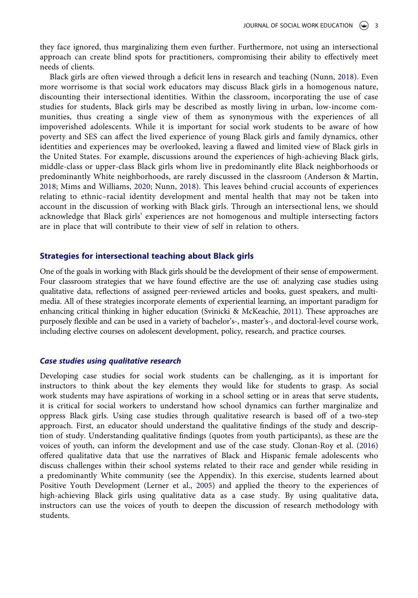they face ignored, thus marginalizing them even further. Furthermore, not using an intersectional approach can create blind spots for practitioners, compromising their ability to effectively meet needs of clients.

Black girls are often viewed through a deficit lens in research and teaching (Nunn, [2018\)](#page-7-6). Even more worrisome is that social work educators may discuss Black girls in a homogenous nature, discounting their intersectional identities. Within the classroom, incorporating the use of case studies for students, Black girls may be described as mostly living in urban, low-income communities, thus creating a single view of them as synonymous with the experiences of all impoverished adolescents. While it is important for social work students to be aware of how poverty and SES can affect the lived experience of young Black girls and family dynamics, other identities and experiences may be overlooked, leaving a flawed and limited view of Black girls in the United States. For example, discussions around the experiences of high-achieving Black girls, middle-class or upper-class Black girls whom live in predominantly elite Black neighborhoods or predominantly White neighborhoods, are rarely discussed in the classroom (Anderson & Martin, [2018;](#page-6-7) Mims and Williams, [2020](#page-7-7); Nunn, [2018](#page-7-6)). This leaves behind crucial accounts of experiences relating to ethnic–racial identity development and mental health that may not be taken into account in the discussion of working with Black girls. Through an intersectional lens, we should acknowledge that Black girls' experiences are not homogenous and multiple intersecting factors are in place that will contribute to their view of self in relation to others.

# <span id="page-3-2"></span><span id="page-3-0"></span>**Strategies for intersectional teaching about Black girls**

<span id="page-3-3"></span>One of the goals in working with Black girls should be the development of their sense of empowerment. Four classroom strategies that we have found effective are the use of: analyzing case studies using qualitative data, reflections of assigned peer-reviewed articles and books, guest speakers, and multimedia. All of these strategies incorporate elements of experiential learning, an important paradigm for enhancing critical thinking in higher education (Svinicki & McKeachie, [2011\)](#page-7-8). These approaches are purposely flexible and can be used in a variety of bachelor's-, master's-, and doctoral-level course work, including elective courses on adolescent development, policy, research, and practice courses.

#### *Case studies using qualitative research*

<span id="page-3-1"></span>Developing case studies for social work students can be challenging, as it is important for instructors to think about the key elements they would like for students to grasp. As social work students may have aspirations of working in a school setting or in areas that serve students, it is critical for social workers to understand how school dynamics can further marginalize and oppress Black girls. Using case studies through qualitative research is based off of a two-step approach. First, an educator should understand the qualitative findings of the study and description of study. Understanding qualitative findings (quotes from youth participants), as these are the voices of youth, can inform the development and use of the case study. Clonan-Roy et al. [\(2016\)](#page-6-5) offered qualitative data that use the narratives of Black and Hispanic female adolescents who discuss challenges within their school systems related to their race and gender while residing in a predominantly White community (see the Appendix). In this exercise, students learned about Positive Youth Development (Lerner et al., [2005\)](#page-7-9) and applied the theory to the experiences of high-achieving Black girls using qualitative data as a case study. By using qualitative data, instructors can use the voices of youth to deepen the discussion of research methodology with students.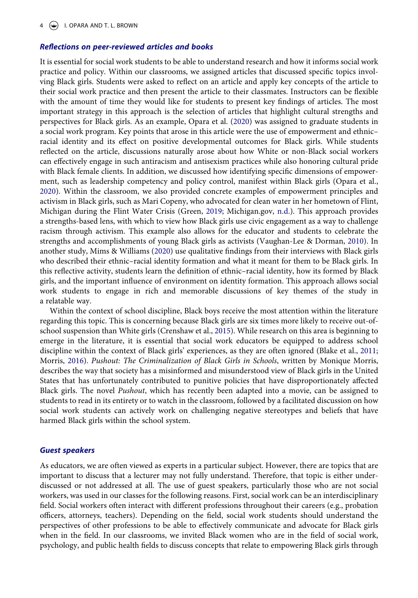#### *Reflections on peer-reviewed articles and books*

<span id="page-4-4"></span>It is essential for social work students to be able to understand research and how it informs social work practice and policy. Within our classrooms, we assigned articles that discussed specific topics involving Black girls. Students were asked to reflect on an article and apply key concepts of the article to their social work practice and then present the article to their classmates. Instructors can be flexible with the amount of time they would like for students to present key findings of articles. The most important strategy in this approach is the selection of articles that highlight cultural strengths and perspectives for Black girls. As an example, Opara et al. [\(2020\)](#page-7-10) was assigned to graduate students in a social work program. Key points that arose in this article were the use of empowerment and ethnic– racial identity and its effect on positive developmental outcomes for Black girls. While students reflected on the article, discussions naturally arose about how White or non-Black social workers can effectively engage in such antiracism and antisexism practices while also honoring cultural pride with Black female clients. In addition, we discussed how identifying specific dimensions of empowerment, such as leadership competency and policy control, manifest within Black girls (Opara et al., [2020](#page-7-10)). Within the classroom, we also provided concrete examples of empowerment principles and activism in Black girls, such as Mari Copeny, who advocated for clean water in her hometown of Flint, Michigan during the Flint Water Crisis (Green, [2019;](#page-7-11) Michigan.gov, [n.d.\)](#page-7-12). This approach provides a strengths-based lens, with which to view how Black girls use civic engagement as a way to challenge racism through activism. This example also allows for the educator and students to celebrate the strengths and accomplishments of young Black girls as activists (Vaughan-Lee & Dorman, [2010](#page-7-13)). In another study, Mims & Williams [\(2020](#page-7-7)) use qualitative findings from their interviews with Black girls who described their ethnic–racial identity formation and what it meant for them to be Black girls. In this reflective activity, students learn the definition of ethnic–racial identity, how its formed by Black girls, and the important influence of environment on identity formation. This approach allows social work students to engage in rich and memorable discussions of key themes of the study in a relatable way.

<span id="page-4-5"></span><span id="page-4-3"></span><span id="page-4-2"></span><span id="page-4-1"></span><span id="page-4-0"></span>Within the context of school discipline, Black boys receive the most attention within the literature regarding this topic. This is concerning because Black girls are six times more likely to receive out-ofschool suspension than White girls (Crenshaw et al., [2015](#page-7-14)). While research on this area is beginning to emerge in the literature, it is essential that social work educators be equipped to address school discipline within the context of Black girls' experiences, as they are often ignored (Blake et al., [2011;](#page-6-8) Morris, [2016\)](#page-7-15). *Pushout: The Criminalization of Black Girls in Schools*, written by Monique Morris, describes the way that society has a misinformed and misunderstood view of Black girls in the United States that has unfortunately contributed to punitive policies that have disproportionately affected Black girls. The novel *Pushout*, which has recently been adapted into a movie, can be assigned to students to read in its entirety or to watch in the classroom, followed by a facilitated discussion on how social work students can actively work on challenging negative stereotypes and beliefs that have harmed Black girls within the school system.

#### *Guest speakers*

As educators, we are often viewed as experts in a particular subject. However, there are topics that are important to discuss that a lecturer may not fully understand. Therefore, that topic is either underdiscussed or not addressed at all. The use of guest speakers, particularly those who are not social workers, was used in our classes for the following reasons. First, social work can be an interdisciplinary field. Social workers often interact with different professions throughout their careers (e.g., probation officers, attorneys, teachers). Depending on the field, social work students should understand the perspectives of other professions to be able to effectively communicate and advocate for Black girls when in the field. In our classrooms, we invited Black women who are in the field of social work, psychology, and public health fields to discuss concepts that relate to empowering Black girls through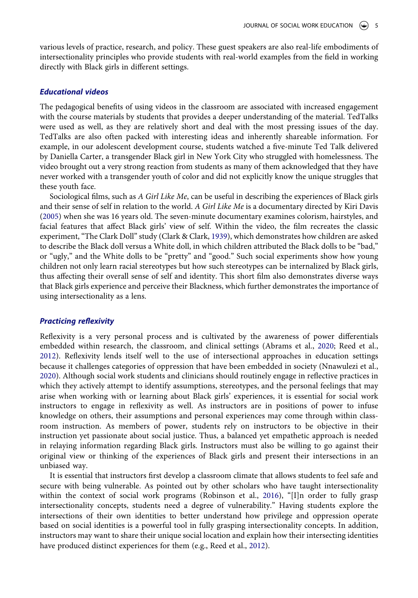various levels of practice, research, and policy. These guest speakers are also real-life embodiments of intersectionality principles who provide students with real-world examples from the field in working directly with Black girls in different settings.

#### *Educational videos*

The pedagogical benefits of using videos in the classroom are associated with increased engagement with the course materials by students that provides a deeper understanding of the material. TedTalks were used as well, as they are relatively short and deal with the most pressing issues of the day. TedTalks are also often packed with interesting ideas and inherently shareable information. For example, in our adolescent development course, students watched a five-minute Ted Talk delivered by Daniella Carter, a transgender Black girl in New York City who struggled with homelessness. The video brought out a very strong reaction from students as many of them acknowledged that they have never worked with a transgender youth of color and did not explicitly know the unique struggles that these youth face.

<span id="page-5-1"></span><span id="page-5-0"></span>Sociological films, such as *A Girl Like Me*, can be useful in describing the experiences of Black girls and their sense of self in relation to the world. *A Girl Like Me* is a documentary directed by Kiri Davis [\(2005\)](#page-7-16) when she was 16 years old. The seven-minute documentary examines colorism, hairstyles, and facial features that affect Black girls' view of self. Within the video, the film recreates the classic experiment, "The Clark Doll" study (Clark & Clark, [1939](#page-6-9)), which demonstrates how children are asked to describe the Black doll versus a White doll, in which children attributed the Black dolls to be "bad," or "ugly," and the White dolls to be "pretty" and "good." Such social experiments show how young children not only learn racial stereotypes but how such stereotypes can be internalized by Black girls, thus affecting their overall sense of self and identity. This short film also demonstrates diverse ways that Black girls experience and perceive their Blackness, which further demonstrates the importance of using intersectionality as a lens.

#### *Practicing reflexivity*

<span id="page-5-2"></span>Reflexivity is a very personal process and is cultivated by the awareness of power differentials embedded within research, the classroom, and clinical settings (Abrams et al., [2020](#page-6-3); Reed et al., [2012](#page-7-17)). Reflexivity lends itself well to the use of intersectional approaches in education settings because it challenges categories of oppression that have been embedded in society (Nnawulezi et al., [2020](#page-7-18)). Although social work students and clinicians should routinely engage in reflective practices in which they actively attempt to identify assumptions, stereotypes, and the personal feelings that may arise when working with or learning about Black girls' experiences, it is essential for social work instructors to engage in reflexivity as well. As instructors are in positions of power to infuse knowledge on others, their assumptions and personal experiences may come through within classroom instruction. As members of power, students rely on instructors to be objective in their instruction yet passionate about social justice. Thus, a balanced yet empathetic approach is needed in relaying information regarding Black girls. Instructors must also be willing to go against their original view or thinking of the experiences of Black girls and present their intersections in an unbiased way.

<span id="page-5-3"></span>It is essential that instructors first develop a classroom climate that allows students to feel safe and secure with being vulnerable. As pointed out by other scholars who have taught intersectionality within the context of social work programs (Robinson et al., [2016](#page-7-3)), "[I]n order to fully grasp intersectionality concepts, students need a degree of vulnerability." Having students explore the intersections of their own identities to better understand how privilege and oppression operate based on social identities is a powerful tool in fully grasping intersectionality concepts. In addition, instructors may want to share their unique social location and explain how their intersecting identities have produced distinct experiences for them (e.g., Reed et al., [2012\)](#page-7-17).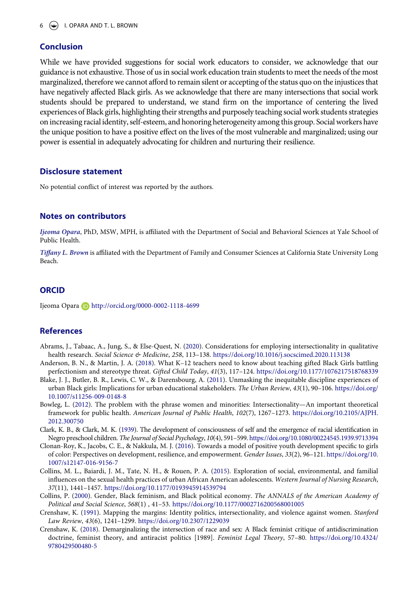# **Conclusion**

While we have provided suggestions for social work educators to consider, we acknowledge that our guidance is not exhaustive. Those of us in social work education train students to meet the needs of the most marginalized, therefore we cannot afford to remain silent or accepting of the status quo on the injustices that have negatively affected Black girls. As we acknowledge that there are many intersections that social work students should be prepared to understand, we stand firm on the importance of centering the lived experiences of Black girls, highlighting their strengths and purposely teaching social work students strategies on increasing racial identity, self-esteem, and honoring heterogeneity among this group. Social workers have the unique position to have a positive effect on the lives of the most vulnerable and marginalized; using our power is essential in adequately advocating for children and nurturing their resilience.

# **Disclosure statement**

No potential conflict of interest was reported by the authors.

# **Notes on contributors**

*Ijeoma Opara*, PhD, MSW, MPH, is affiliated with the Department of Social and Behavioral Sciences at Yale School of Public Health.

*Tiffany L. Brown* is affiliated with the Department of Family and Consumer Sciences at California State University Long Beach.

# **ORCID**

Ijeoma Opara D http://orcid.org/0000-0002-1118-4699

# **References**

- <span id="page-6-3"></span>Abrams, J., Tabaac, A., Jung, S., & Else-Quest, N. ([2020](#page-2-0)). Considerations for employing intersectionality in qualitative health research. *Social Science & Medicine*, *258*, 113–138. <https://doi.org/10.1016/j.socscimed.2020.113138>
- <span id="page-6-7"></span>Anderson, B. N., & Martin, J. A. [\(2018\)](#page-3-0). What K–12 teachers need to know about teaching gifted Black Girls battling perfectionism and stereotype threat. *Gifted Child Today*, *41*(3), 117–124. <https://doi.org/10.1177/1076217518768339> Blake, J. J., Butler, B. R., Lewis, C. W., & Darensbourg, A. [\(2011\)](#page-4-0). Unmasking the inequitable discipline experiences of
- <span id="page-6-8"></span>urban Black girls: Implications for urban educational stakeholders. *The Urban Review*, *43*(1), 90–106. [https://doi.org/](https://doi.org/10.1007/s11256-009-0148-8) [10.1007/s11256-009-0148-8](https://doi.org/10.1007/s11256-009-0148-8) Bowleg, L. [\(2012\)](#page-2-0). The problem with the phrase women and minorities: Intersectionality—An important theoretical
- <span id="page-6-4"></span>framework for public health. *American Journal of Public Health*, *102*(7), 1267–1273. [https://doi.org/10.2105/AJPH.](https://doi.org/10.2105/AJPH.2012.300750)  [2012.300750](https://doi.org/10.2105/AJPH.2012.300750)
- <span id="page-6-9"></span>Clark, K. B., & Clark, M. K. [\(1939\)](#page-5-0). The development of consciousness of self and the emergence of racial identification in Negro preschool children. *The Journal of Social Psychology*, *10*(4), 591–599.<https://doi.org/10.1080/00224545.1939.9713394>
- <span id="page-6-5"></span>Clonan-Roy, K., Jacobs, C. E., & Nakkula, M. J. [\(2016\)](#page-2-1). Towards a model of positive youth development specific to girls of color: Perspectives on development, resilience, and empowerment. *Gender Issues*, *33*(2), 96–121. [https://doi.org/10.](https://doi.org/10.1007/s12147-016-9156-7) [1007/s12147-016-9156-7](https://doi.org/10.1007/s12147-016-9156-7)
- <span id="page-6-0"></span>Collins, M. L., Baiardi, J. M., Tate, N. H., & Rouen, P. A. [\(2015\)](#page-1-0). Exploration of social, environmental, and familial influences on the sexual health practices of urban African American adolescents. *Western Journal of Nursing Research*, *37*(11), 1441–1457. <https://doi.org/10.1177/0193945914539794>
- <span id="page-6-1"></span>Collins, P. ([2000](#page-1-1)). Gender, Black feminism, and Black political economy. *The ANNALS of the American Academy of Political and Social Science*, *568*(1) , 41–53. <https://doi.org/10.1177/0002716200568001005>
- <span id="page-6-2"></span>Crenshaw, K. [\(1991\)](#page-2-2). Mapping the margins: Identity politics, intersectionality, and violence against women. *Stanford Law Review*, *43*(6), 1241–1299. <https://doi.org/10.2307/1229039>
- <span id="page-6-6"></span>Crenshaw, K. ([2018\)](#page-2-3). Demarginalizing the intersection of race and sex: A Black feminist critique of antidiscrimination doctrine, feminist theory, and antiracist politics [1989]. *Feminist Legal Theory*, 57–80. [https://doi.org/10.4324/](https://doi.org/10.4324/9780429500480-5) [9780429500480-5](https://doi.org/10.4324/9780429500480-5)